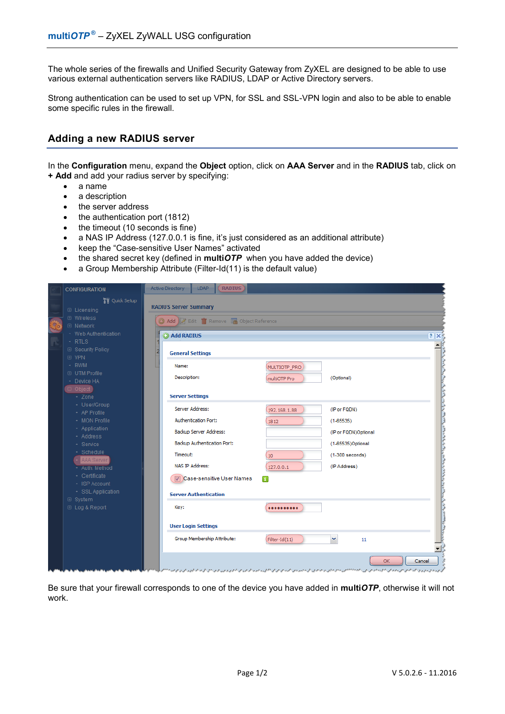The whole series of the firewalls and Unified Security Gateway from ZyXEL are designed to be able to use various external authentication servers like RADIUS, LDAP or Active Directory servers.

Strong authentication can be used to set up VPN, for SSL and SSL-VPN login and also to be able to enable some specific rules in the firewall.

## **Adding a new RADIUS server**

In the **Configuration** menu, expand the **Object** option, click on **AAA Server** and in the **RADIUS** tab, click on **+ Add** and add your radius server by specifying:

- a name
- a description
- the server address
- the authentication port (1812)
- the timeout (10 seconds is fine)
- a NAS IP Address (127.0.0.1 is fine, it's just considered as an additional attribute)
- keep the "Case-sensitive User Names" activated
- the shared secret key (defined in **multi***OTP* when you have added the device)
- a Group Membership Attribute (Filter-Id(11) is the default value)

| <b>CONFIGURATION</b>                          | <b>Active Directory</b>      | <b>RADIUS</b><br>LDAP                    |                 |                                                                                                                                                             |        |
|-----------------------------------------------|------------------------------|------------------------------------------|-----------------|-------------------------------------------------------------------------------------------------------------------------------------------------------------|--------|
| <b>Til</b> Quick Setup<br><b>⊞</b> Licensing  | <b>RADIUS Server Summary</b> |                                          |                 |                                                                                                                                                             |        |
| <b>⊞</b> Wireless<br><b>⊞</b> Network         |                              | Add 7 Edit Til Remove 4 Object Reference |                 |                                                                                                                                                             |        |
| • Web Authentication                          | add RADIUS                   |                                          |                 |                                                                                                                                                             | ? X    |
| $+$ RTLS<br><b>E</b> Security Policy<br>⊕ VPN | <b>General Settings</b>      |                                          |                 |                                                                                                                                                             |        |
| + BWM<br><b>⊞</b> UTM Profile                 | Name:                        |                                          | MULTIOTP_PRO    |                                                                                                                                                             |        |
| + Device HA                                   | Description:                 |                                          | multiOTP Pro    | (Optional)                                                                                                                                                  |        |
| D Object<br>+ Zone                            | <b>Server Settings</b>       |                                          |                 |                                                                                                                                                             |        |
| + User/Group<br>+ AP Profile                  | Server Address:              |                                          | 192, 168, 1.88  | (IP or FQDN)                                                                                                                                                |        |
| + MON Profile<br>+ Application                | <b>Authentication Port:</b>  |                                          | 1812            | $(1 - 65535)$                                                                                                                                               |        |
| + Address                                     | Backup Server Address:       |                                          |                 | (IP or FQDN)Optional                                                                                                                                        |        |
| + Service<br>+ Schedule                       | Timeout:                     | Backup Authentication Port:              |                 | (1-65535)Optional<br>$(1-300$ seconds)                                                                                                                      |        |
| AAA Server<br>+ Auth, Method                  | <b>NAS IP Address:</b>       |                                          | 10<br>127.0.0.1 | (IP Address)                                                                                                                                                |        |
| + Certificate<br>+ ISP Account                |                              | Case-sensitive User Names                | Ŧ               |                                                                                                                                                             |        |
| + SSL Application<br>⊕ System                 | <b>Server Authentication</b> |                                          |                 |                                                                                                                                                             |        |
| ⊕ Log & Report                                | Key:                         |                                          |                 |                                                                                                                                                             |        |
|                                               | <b>User Login Settings</b>   |                                          |                 |                                                                                                                                                             |        |
|                                               |                              | Group Membership Attribute:              | Filter-Id(11)   | v<br>11                                                                                                                                                     |        |
|                                               |                              |                                          |                 | <b>OK</b>                                                                                                                                                   | Cancel |
|                                               |                              |                                          |                 | كرود والمرود والمدافع الإرواد في المواري المدافعين والإوالي والمحال المدافعة المراد كالمحال الأول الموارق الموارق الموارق الموارق الموارق الموارقة الموارقة |        |

Be sure that your firewall corresponds to one of the device you have added in **multi***OTP*, otherwise it will not work.